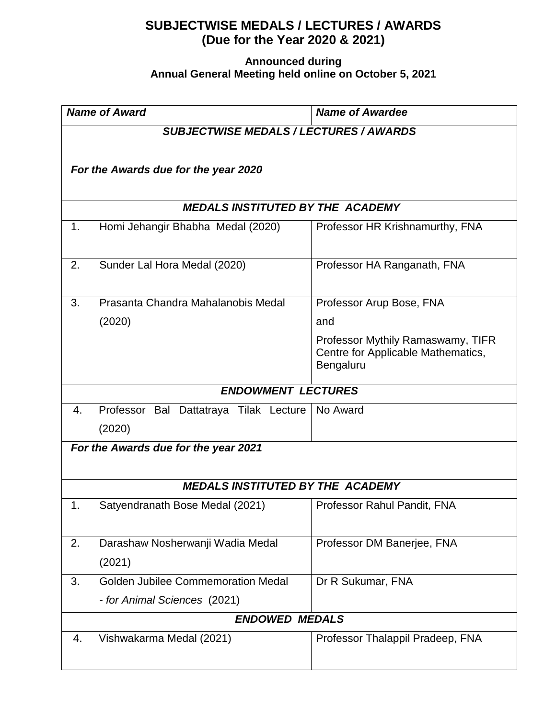## **SUBJECTWISE MEDALS / LECTURES / AWARDS (Due for the Year 2020 & 2021)**

## **Announced during Annual General Meeting held online on October 5, 2021**

| <b>Name of Award</b>                    |                                               | <b>Name of Awardee</b>                                                               |  |
|-----------------------------------------|-----------------------------------------------|--------------------------------------------------------------------------------------|--|
|                                         | <b>SUBJECTWISE MEDALS / LECTURES / AWARDS</b> |                                                                                      |  |
|                                         | For the Awards due for the year 2020          |                                                                                      |  |
|                                         |                                               |                                                                                      |  |
| <b>MEDALS INSTITUTED BY THE ACADEMY</b> |                                               |                                                                                      |  |
| 1.                                      | Homi Jehangir Bhabha Medal (2020)             | Professor HR Krishnamurthy, FNA                                                      |  |
| 2.                                      | Sunder Lal Hora Medal (2020)                  | Professor HA Ranganath, FNA                                                          |  |
| 3.                                      | Prasanta Chandra Mahalanobis Medal            | Professor Arup Bose, FNA                                                             |  |
|                                         | (2020)                                        | and                                                                                  |  |
|                                         |                                               | Professor Mythily Ramaswamy, TIFR<br>Centre for Applicable Mathematics,<br>Bengaluru |  |
|                                         | <b>ENDOWMENT LECTURES</b>                     |                                                                                      |  |
| 4.                                      | Professor Bal Dattatraya Tilak Lecture        | No Award                                                                             |  |
|                                         | (2020)                                        |                                                                                      |  |
|                                         | For the Awards due for the year 2021          |                                                                                      |  |
|                                         |                                               |                                                                                      |  |
| <b>MEDALS INSTITUTED BY THE ACADEMY</b> |                                               |                                                                                      |  |
| 1.                                      | Satyendranath Bose Medal (2021)               | Professor Rahul Pandit, FNA                                                          |  |
| 2.                                      | Darashaw Nosherwanji Wadia Medal              | Professor DM Banerjee, FNA                                                           |  |
|                                         | (2021)                                        |                                                                                      |  |
| 3.                                      | <b>Golden Jubilee Commemoration Medal</b>     | Dr R Sukumar, FNA                                                                    |  |
|                                         | - for Animal Sciences (2021)                  |                                                                                      |  |
|                                         | <b>ENDOWED MEDALS</b>                         |                                                                                      |  |
| 4.                                      | Vishwakarma Medal (2021)                      | Professor Thalappil Pradeep, FNA                                                     |  |